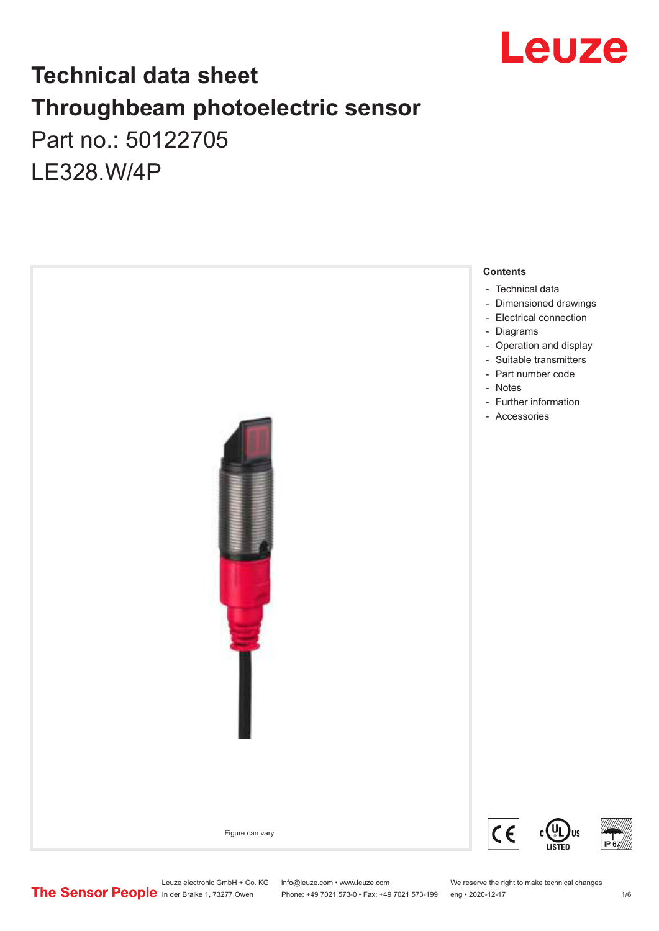

## **Technical data sheet Throughbeam photoelectric sensor**  Part no.: 50122705 LE328.W/4P



Leuze electronic GmbH + Co. KG info@leuze.com • www.leuze.com We reserve the right to make technical changes<br>
The Sensor People in der Braike 1, 73277 Owen Phone: +49 7021 573-0 • Fax: +49 7021 573-199 eng • 2020-12-17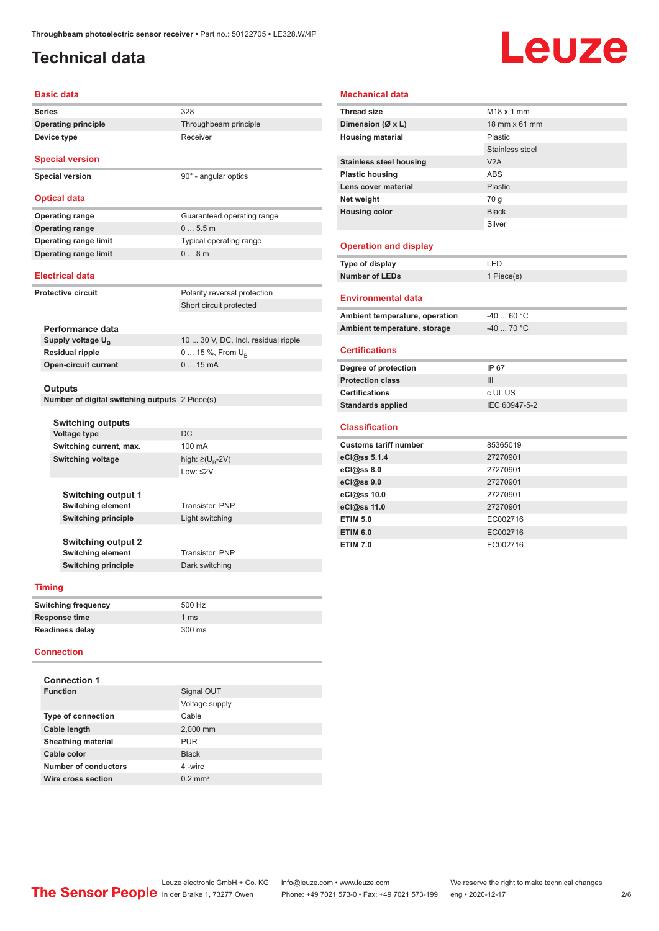## <span id="page-1-0"></span>**Technical data**

**Device type** Receiver

# Leuze

#### **Basic data**

| Series                     | 328                   |
|----------------------------|-----------------------|
| <b>Operating principle</b> | Throughbeam principle |

**Special version**

**Special version** 90° - angular optics

#### **Optical data**

**Operating range** Guaranteed operating range **Operating range** 0 ... 5.5 m **Operating range limit** Typical operating range **Operating range limit**  $0... 8$  m

#### **Electrical data**

**Protective circuit** Polarity reversal protection

|                               | Short circuit protected             |
|-------------------------------|-------------------------------------|
|                               |                                     |
| Performance data              |                                     |
| Supply voltage U <sub>p</sub> | 10  30 V, DC, Incl. residual ripple |
| <b>Residual ripple</b>        | $0 15 \%$ , From $U_{p}$            |

#### **Outputs**

**Number of digital switching outputs** 2 Piece(s)

**Open-circuit current** 0 ... 15 mA

| <b>Switching outputs</b>   |                                |
|----------------------------|--------------------------------|
| <b>Voltage type</b>        | DC.                            |
| Switching current, max.    | 100 mA                         |
| <b>Switching voltage</b>   | high: $\geq (U_{\text{R}}-2V)$ |
|                            | $1$ nw: $\leq$ 2V              |
|                            |                                |
| <b>Switching output 1</b>  |                                |
| <b>Switching element</b>   | Transistor, PNP                |
| <b>Switching principle</b> | Light switching                |
|                            |                                |
| <b>Switching output 2</b>  |                                |
| <b>Switching element</b>   | Transistor, PNP                |
| <b>Switching principle</b> | Dark switching                 |

#### **Timing**

| <b>Switching frequency</b> | 500 Hz        |
|----------------------------|---------------|
| Response time              | 1 $\text{ms}$ |
| <b>Readiness delay</b>     | 300 ms        |

#### **Connection**

| <b>Connection 1</b>       |                       |
|---------------------------|-----------------------|
| <b>Function</b>           | Signal OUT            |
|                           | Voltage supply        |
| <b>Type of connection</b> | Cable                 |
| <b>Cable length</b>       | 2,000 mm              |
| <b>Sheathing material</b> | <b>PUR</b>            |
| Cable color               | <b>Black</b>          |
| Number of conductors      | 4-wire                |
| Wire cross section        | $0.2$ mm <sup>2</sup> |

#### **Mechanical data**

| <b>Thread size</b>             | $M18 \times 1$ mm |
|--------------------------------|-------------------|
| Dimension (Ø x L)              | 18 mm x 61 mm     |
| <b>Housing material</b>        | <b>Plastic</b>    |
|                                | Stainless steel   |
| <b>Stainless steel housing</b> | V2A               |
| <b>Plastic housing</b>         | <b>ABS</b>        |
| Lens cover material            | <b>Plastic</b>    |
| Net weight                     | 70 g              |
| <b>Housing color</b>           | <b>Black</b>      |
|                                | Silver            |
|                                |                   |
| <b>Operation and display</b>   |                   |
| Type of display                | LED               |
| <b>Number of LEDs</b>          | 1 Piece(s)        |
|                                |                   |
| <b>Environmental data</b>      |                   |
| Ambient temperature, operation | $-4060 °C$        |
| Ambient temperature, storage   | $-4070 °C$        |
|                                |                   |
| <b>Certifications</b>          |                   |
| Degree of protection           | IP 67             |
| <b>Protection class</b>        | III               |
| <b>Certifications</b>          | c UL US           |
| <b>Standards applied</b>       | IEC 60947-5-2     |
|                                |                   |
| <b>Classification</b>          |                   |
| <b>Customs tariff number</b>   | 85365019          |
| eCl@ss 5.1.4                   | 27270901          |
| eCl@ss 8.0                     | 27270901          |
| eCl@ss 9.0                     | 27270901          |
| eCl@ss 10.0                    | 27270901          |
| eCl@ss 11.0                    | 27270901          |
| <b>ETIM 5.0</b>                | EC002716          |
| <b>ETIM 6.0</b>                | EC002716          |
| <b>ETIM 7.0</b>                | EC002716          |
|                                |                   |
|                                |                   |

## Leuze electronic GmbH + Co. KG info@leuze.com • www.leuze.com We reserve the right to make technical changes<br> **The Sensor People** In der Braike 1, 73277 Owen Phone: +49 7021 573-0 • Fax: +49 7021 573-199 eng • 2020-12-17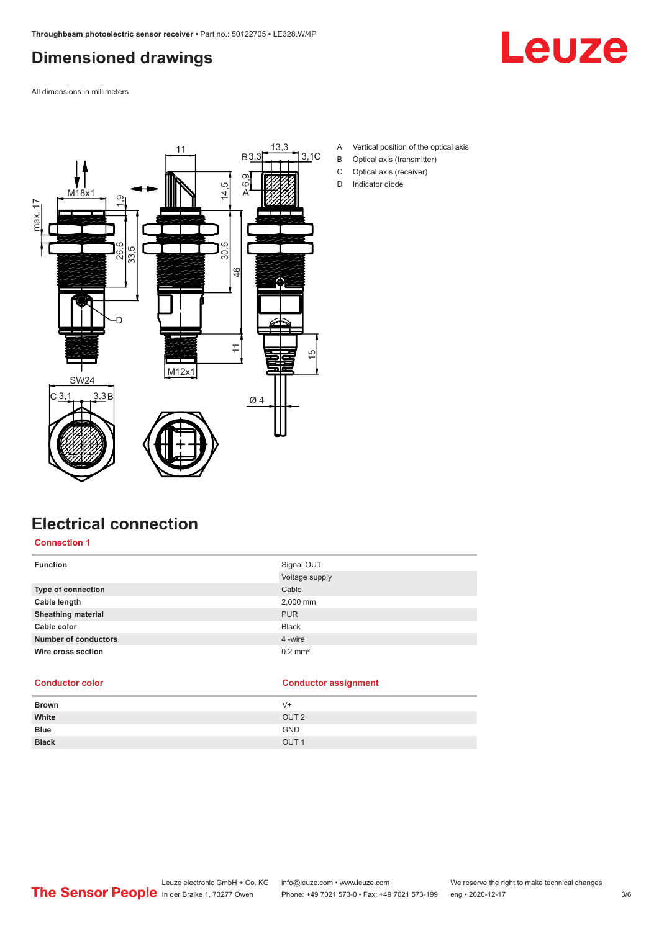## <span id="page-2-0"></span>**Dimensioned drawings**



All dimensions in millimeters



- A Vertical position of the optical axis
- B Optical axis (transmitter)
- C Optical axis (receiver)
- D Indicator diode

## **Electrical connection**

**Connection 1**

| <b>Function</b>             | Signal OUT            |
|-----------------------------|-----------------------|
|                             | Voltage supply        |
| Type of connection          | Cable                 |
| Cable length                | 2,000 mm              |
| <b>Sheathing material</b>   | <b>PUR</b>            |
| Cable color                 | <b>Black</b>          |
| <b>Number of conductors</b> | 4 -wire               |
| Wire cross section          | $0.2$ mm <sup>2</sup> |

#### **Conductor color Conductor assignment**

| <b>Brown</b> | $V +$            |
|--------------|------------------|
| White        | OUT <sub>2</sub> |
| <b>Blue</b>  | <b>GND</b>       |
| <b>Black</b> | OUT <sub>1</sub> |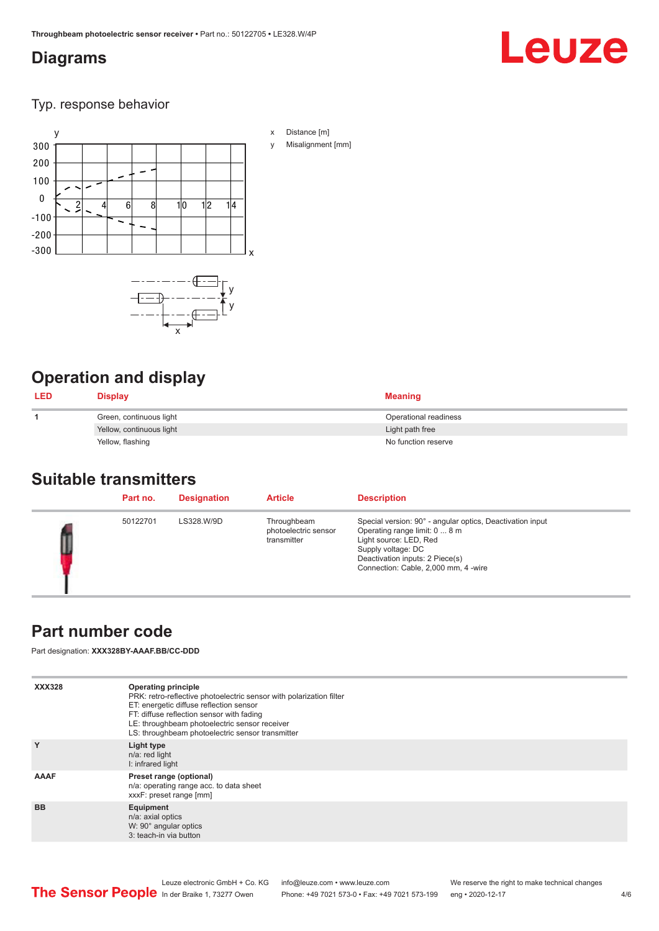## <span id="page-3-0"></span>**Diagrams**

# Leuze

Typ. response behavior



## **Operation and display**

| <b>LED</b> | <b>Display</b>           | <b>Meaning</b>        |
|------------|--------------------------|-----------------------|
|            | Green, continuous light  | Operational readiness |
|            | Yellow, continuous light | Light path free       |
|            | Yellow, flashing         | No function reserve   |

#### **Suitable transmitters**

|  | Part no. | <b>Designation</b> | <b>Article</b>                                     | <b>Description</b>                                                                                                                                                                                                    |
|--|----------|--------------------|----------------------------------------------------|-----------------------------------------------------------------------------------------------------------------------------------------------------------------------------------------------------------------------|
|  | 50122701 | LS328.W/9D         | Throughbeam<br>photoelectric sensor<br>transmitter | Special version: 90° - angular optics, Deactivation input<br>Operating range limit: 0  8 m<br>Light source: LED, Red<br>Supply voltage: DC<br>Deactivation inputs: 2 Piece(s)<br>Connection: Cable, 2,000 mm, 4 -wire |

## **Part number code**

Part designation: **XXX328BY-AAAF.BB/CC-DDD**

| <b>XXX328</b> | <b>Operating principle</b><br>PRK: retro-reflective photoelectric sensor with polarization filter<br>ET: energetic diffuse reflection sensor<br>FT: diffuse reflection sensor with fading<br>LE: throughbeam photoelectric sensor receiver<br>LS: throughbeam photoelectric sensor transmitter |
|---------------|------------------------------------------------------------------------------------------------------------------------------------------------------------------------------------------------------------------------------------------------------------------------------------------------|
| Y             | Light type<br>n/a: red light<br>I: infrared light                                                                                                                                                                                                                                              |
| AAAF          | Preset range (optional)<br>n/a: operating range acc. to data sheet<br>xxxF: preset range [mm]                                                                                                                                                                                                  |
| <b>BB</b>     | Equipment<br>n/a: axial optics<br>W: 90° angular optics<br>3: teach-in via button                                                                                                                                                                                                              |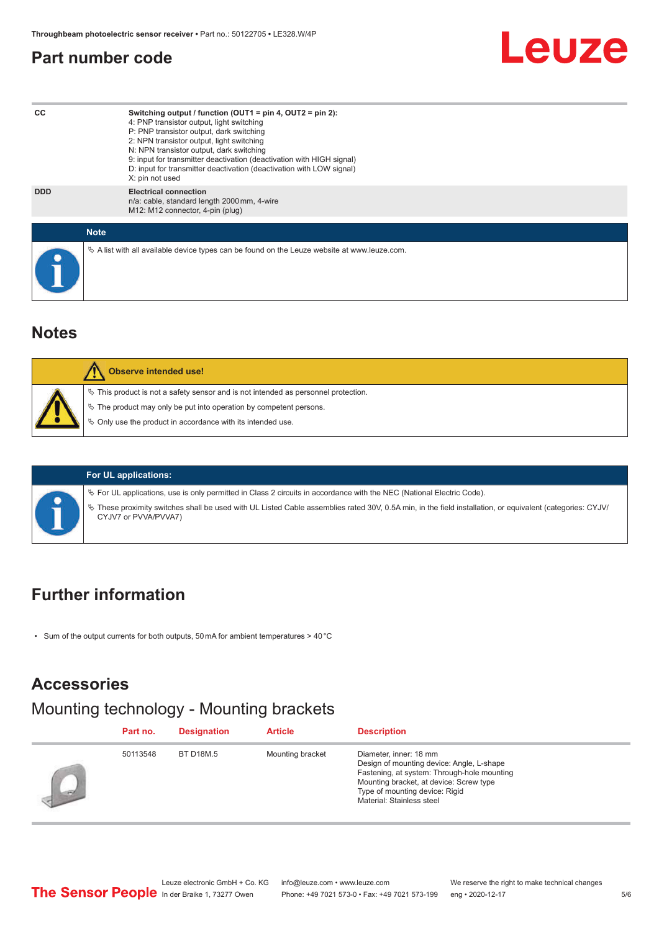#### <span id="page-4-0"></span>**Part number code**



#### **Notes**

| <b>Observe intended use!</b>                                                                                                                                                                                                  |
|-------------------------------------------------------------------------------------------------------------------------------------------------------------------------------------------------------------------------------|
| $\%$ This product is not a safety sensor and is not intended as personnel protection.<br>$\%$ The product may only be put into operation by competent persons.<br>§ Only use the product in accordance with its intended use. |

#### **For UL applications:**

ª For UL applications, use is only permitted in Class 2 circuits in accordance with the NEC (National Electric Code).

ª These proximity switches shall be used with UL Listed Cable assemblies rated 30V, 0.5A min, in the field installation, or equivalent (categories: CYJV/ CYJV7 or PVVA/PVVA7)

#### **Further information**

• Sum of the output currents for both outputs, 50 mA for ambient temperatures > 40 °C

#### **Accessories**

#### Mounting technology - Mounting brackets

|                          | Part no. | <b>Designation</b> | <b>Article</b>   | <b>Description</b>                                                                                                                                                                                                           |
|--------------------------|----------|--------------------|------------------|------------------------------------------------------------------------------------------------------------------------------------------------------------------------------------------------------------------------------|
| $\overline{\phantom{a}}$ | 50113548 | BT D18M.5          | Mounting bracket | Diameter, inner: 18 mm<br>Design of mounting device: Angle, L-shape<br>Fastening, at system: Through-hole mounting<br>Mounting bracket, at device: Screw type<br>Type of mounting device: Rigid<br>Material: Stainless steel |

Leuze